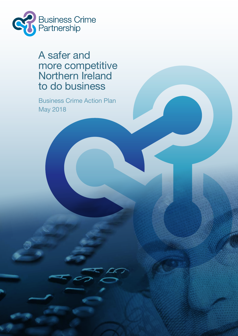

### A safer and more competitive Northern Ireland to do business

Business Crime Action Plan May 2018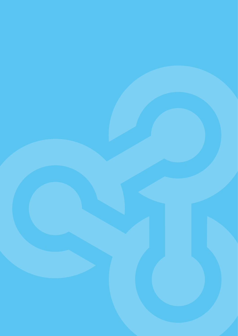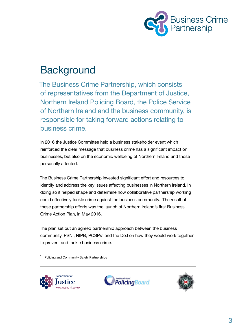

### **Background**

The Business Crime Partnership, which consists of representatives from the Department of Justice, Northern Ireland Policing Board, the Police Service of Northern Ireland and the business community, is responsible for taking forward actions relating to business crime.

In 2016 the Justice Committee held a business stakeholder event which reinforced the clear message that business crime has a significant impact on businesses, but also on the economic wellbeing of Northern Ireland and those personally affected.

The Business Crime Partnership invested significant effort and resources to identify and address the key issues affecting businesses in Northern Ireland. In doing so it helped shape and determine how collaborative partnership working could effectively tackle crime against the business community. The result of these partnership efforts was the launch of Northern Ireland's first Business Crime Action Plan, in May 2016.

The plan set out an agreed partnership approach between the business community, PSNI, NIPB, PCSPs<sup>1</sup> and the DoJ on how they would work together to prevent and tackle business crime.

<sup>1</sup> Policing and Community Safety Partnerships





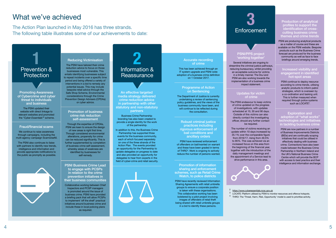### PSNI/PPS project 'working together'

Several initiatives are ongoing to streamline the criminal justice pathways, reducing bureaucracy, whilst providing an acceptable outcome for victims in a timely manner. The DoJ and PSNI are also working towards the implementation of a business crime impact statement.

### Updates for victim of crime

The PSNI endeavour to keep victims of crime updated on the progress of investigations, with updates scheduled at 10, 30 and 90 days. Outside of this victims can also directly contact the investigating officer, should any further contact be required.

An effective targeted media strategy delivered crime reduction advice in partnership with other statutory and non-statutory **partners** 

> The number of victims receiving an update within 10 days increased by 35.1% over the comparable figure from 2016/17, rising from 49.5% to 85%. This was achieved via an increased focus on this area from the beginning of the financial year, together with the introduction of the daily management meetings and the appointment of a Service lead to drive performance in this area.

- https://www.cyberessentials.ncsc.gov.uk
- 
- 

### Information & **Reassurance**

Business Crime Partnership branding has also been created to provide a single identity for the work of the partnership.

In addition to this, the Business Crime Partnership has supported three events for the business community, each of which focused separately on one of the three strands of the Action Plan. The events provided an opportunity for the Partnership to update delegates on progress to date and also provided an opportunity for delegates to hear from experts in the field of cyber-crime and retail security.



Promoting Awareness of Cybercrime and cyber threat to individuals and business

The PSNI updated their website with direct linkage to relevant websites and promoted the *"Cyber Essentials"*<sup>2</sup> scheme.

#### Fraud/financial scams

We continue to raise awareness through campaigns, including the multi-agency campaign ScamwiseNI.

> 3 LOCATE: Platform utilised by PSNI to monitor resources and offence hotspots. <sup>4</sup> THRO: The 'Threat, Harm, Risk, Opportunity' model is used to prioritise activity.

The PSNI also continues to liaise with partners to identify new trends, intelligence and information and provide appropriate notifications to the public as promptly as possible.



# Reducing Victimisation **2**<br> **2**<br> **2**<br> **2**<br> **2**<br> **2**

### What we've achieved

PSNI continue to deploy resource according to crime trends, utilising analytic products to inform patrol strategies, which is overseen by a co-ordination and tasking unit. This is further measured when required through police systems such as LOCATE<sup>3</sup>.

The Action Plan launched in May 2016 has three strands. The following table illustrates some of our achievements to date:

## Prevention & Protection **1**

The PSNI have tailored their crime reduction advice to focus on those businesses most vulnerable. This entails identifying businesses subject to repeat incidents over a specific time period and being offered a variety of interventions in a bid to remedy any potential issues. This may include bespoke retail advice through the Safe Shop Scheme, Environmental considerations through the Crime Prevention Design Advisers (CPDAs) or cyber advice.

#### Promotion of business crime risk reduction self-assessment

Through the expertise of CPDAs, PSNI are keen to ensure the design of new areas is right first time. Through considered environmental alterations, propensity for crime can be reduced significantly. This is further supplemented by completion of business crime self-assessment, whereby areas of weakness are identified by businesses for self-remedy.

# **Enforcement 3**

#### PSNI Business Crime Lead to engage with PCSPs in relation to the crime prevention initiatives in their business communities

Collaborative working between Chief Inspectors and PCSP managers is promoted around the issue of business crime. PSNI have provided a briefing pack that will allow PCSPs to implement 'off the shelf' practical initiatives around business crime and include these in local policing plans as required.

### Production of analytical profiles to support the identification of crosscutting business crime themes and crime trends

PSNI are producing analytical products as a matter of course and these are available on the PSNI website. Bespoke products such as the Business Crime forecast are produced for the business community as well as face to face briefings around emerging trends.

### Increased visibility and engagement in identified hot-spot areas

#### Exploration and adoption of "what works" technologies and initiatives in tackling business crime

PSNI are now partners in a number of Business Improvements Districts (BIDs) and are continually scoping initiatives that could be utilised in effectively dealing with business crime. Connections have also been made between the Business Crime Partnership in Northern Ireland and the UK's National Business Crime Centre which will provide the BCP with access to best practice and their intelligence and information exchange.

### Accurate recording of crime

This has been achieved through an IT system upgrade and PSNI-wide adoption of a business crime definition on 1 October 2017.

#### Programme of Action on Sentencing

The Department of Justice is currently undertaking a review of sentencing policy guidelines, and the views of the business community have been, and will continue to be reflected during the consultation.

Robust criminal justice practices including rigorous enforcement of bail conditions and ancillary orders

PSNI have reviewed enforcement of offenders on bail/wanted on warrant and these have been graded in terms of THRO4 . Work is ongoing to actively reduce the number of persons wanted.

#### Promotion of information sharing and enforcement schemes, such as Retail Crime Watch, to police districts

PSNI have recently reviewed Information Sharing Agreements with retail umbrella groups to ensure a corporate position is taken with these organisations. This collaborative working has been bolstered by a pilot project involving images of offenders of retail theft being shared with retail umbrella groups in a bid to identify these persons.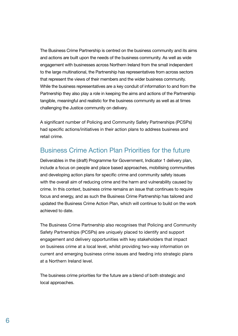The Business Crime Partnership is centred on the business community and its aims and actions are built upon the needs of the business community. As well as wide engagement with businesses across Northern Ireland from the small independent to the large multinational, the Partnership has representatives from across sectors that represent the views of their members and the wider business community. While the business representatives are a key conduit of information to and from the Partnership they also play a role in keeping the aims and actions of the Partnership tangible, meaningful and realistic for the business community as well as at times challenging the Justice community on delivery.

A significant number of Policing and Community Safety Partnerships (PCSPs) had specific actions/initiatives in their action plans to address business and retail crime.

### Business Crime Action Plan Priorities for the future

Deliverables in the (draft) Programme for Government, Indicator 1 delivery plan, include a focus on people and place based approaches, mobilising communities and developing action plans for specific crime and community safety issues with the overall aim of reducing crime and the harm and vulnerability caused by crime. In this context, business crime remains an issue that continues to require focus and energy, and as such the Business Crime Partnership has tailored and updated the Business Crime Action Plan, which will continue to build on the work achieved to date.

The Business Crime Partnership also recognises that Policing and Community Safety Partnerships (PCSPs) are uniquely placed to identify and support engagement and delivery opportunities with key stakeholders that impact on business crime at a local level, whilst providing two-way information on current and emerging business crime issues and feeding into strategic plans at a Northern Ireland level.

The business crime priorities for the future are a blend of both strategic and local approaches.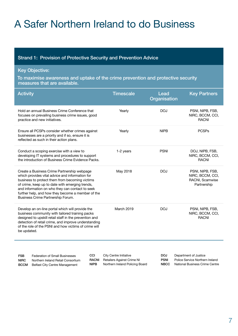### A Safer Northern Ireland to do Business

### Strand 1: Provision of Protective Security and Prevention Advice

### Key Objective:

To maximise awareness and uptake of the crime prevention and protective security measures that are available.

| <b>Activity</b>                                                                                                                                                                                                                                                                                                                                  | <b>Timescale</b> | Lead<br>Organisation | <b>Key Partners</b>                                                    |
|--------------------------------------------------------------------------------------------------------------------------------------------------------------------------------------------------------------------------------------------------------------------------------------------------------------------------------------------------|------------------|----------------------|------------------------------------------------------------------------|
| Hold an annual Business Crime Conference that<br>focuses on prevailing business crime issues, good<br>practice and new initiatives.                                                                                                                                                                                                              | Yearly           | <b>DOJ</b>           | PSNI, NIPB, FSB,<br>NIRC, BCCM, CCI,<br><b>RACNI</b>                   |
| Ensure all PCSPs consider whether crimes against<br>businesses are a priority and if so, ensure it is<br>reflected as such in their action plans.                                                                                                                                                                                                | Yearly           | <b>NIPB</b>          | <b>PCSPs</b>                                                           |
| Conduct a scoping exercise with a view to<br>developing IT systems and procedures to support<br>the introduction of Business Crime Evidence Packs.                                                                                                                                                                                               | 1-2 years        | <b>PSNI</b>          | DOJ, NIPB, FSB,<br>NIRC, BCCM, CCI,<br><b>RACNI</b>                    |
| Create a Business Crime Partnership webpage<br>which provides vital advice and information for<br>business to protect them from becoming victims<br>of crime, keep up to date with emerging trends,<br>and information on who they can contact to seek<br>further help, and how they become a member of the<br>Business Crime Partnership Forum. | May 2018         | <b>DOJ</b>           | PSNI, NIPB, FSB,<br>NIRC, BCCM, CCI,<br>RACNI, Scamwise<br>Partnership |
| Develop an on-line portal which will provide the<br>business community with tailored training packs<br>designed to upskill retail staff in the prevention and<br>detection of retail crime, and improve understanding<br>of the role of the PSNI and how victims of crime will<br>be updated.                                                    | March 2019       | <b>DOJ</b>           | PSNI, NIPB, FSB,<br>NIRC, BCCM, CCI,<br><b>RACNI</b>                   |

| <b>FSB</b>  | Federation of Small Businesses     | CCI         | City Centre Initiative          | DOJ.        | Department of Justice           |
|-------------|------------------------------------|-------------|---------------------------------|-------------|---------------------------------|
| <b>NIRC</b> | Northern Ireland Retail Consortium | RACNI       | Retailers Against Crime NI      | PSNI        | Police Service Northern Ireland |
| <b>BCCM</b> | Belfast City Centre Management     | <b>NIPB</b> | Northern Ireland Policing Board | <b>NBCC</b> | National Business Crime Centre  |